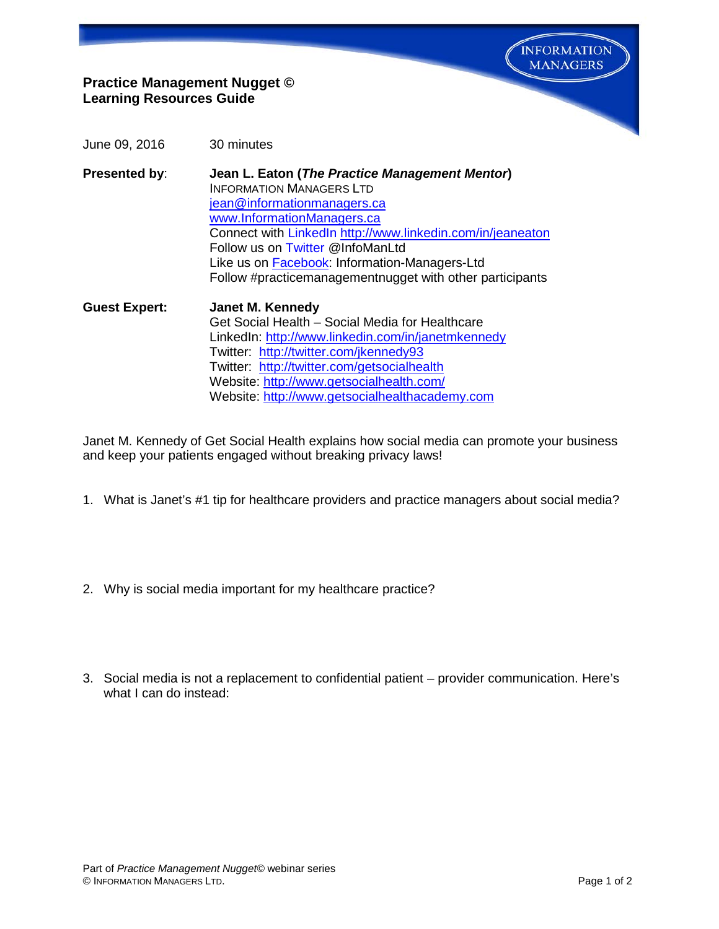**INFORMATION MANAGERS** 

## **Practice Management Nugget © Learning Resources Guide**

- June 09, 2016 30 minutes
- **Presented by**: **Jean L. Eaton (***The Practice Management Mentor***)** INFORMATION MANAGERS LTD [jean@informationmanagers.ca](mailto:jean@informationmanagers.ca) [www.InformationManagers.ca](http://www.informationmanagers.ca/) Connect with [LinkedIn](http://www.linkedin.com/in/jeaneaton) <http://www.linkedin.com/in/jeaneaton> Follow us on [Twitter](https://twitter.com/InfoManLtd) @InfoManLtd Like us on [Facebook:](https://www.facebook.com/pages/Information-Managers-Ltd/291303607725640) Information-Managers-Ltd Follow #practicemanagementnugget with other participants
- **Guest Expert: Janet M. Kennedy** Get Social Health – Social Media for Healthcare LinkedIn:<http://www.linkedin.com/in/janetmkennedy> Twitter: <http://twitter.com/jkennedy93> Twitter: [http://twitter.com/getsocialhealth](http://twitter.com/jkennedy93) Website: <http://www.getsocialhealth.com/> Website: [http://www.getsocialhealthacademy.com](http://www.getsocialhealthacademy.com/)

Janet M. Kennedy of Get Social Health explains how social media can promote your business and keep your patients engaged without breaking privacy laws!

- 1. What is Janet's #1 tip for healthcare providers and practice managers about social media?
- 2. Why is social media important for my healthcare practice?
- 3. Social media is not a replacement to confidential patient provider communication. Here's what I can do instead: